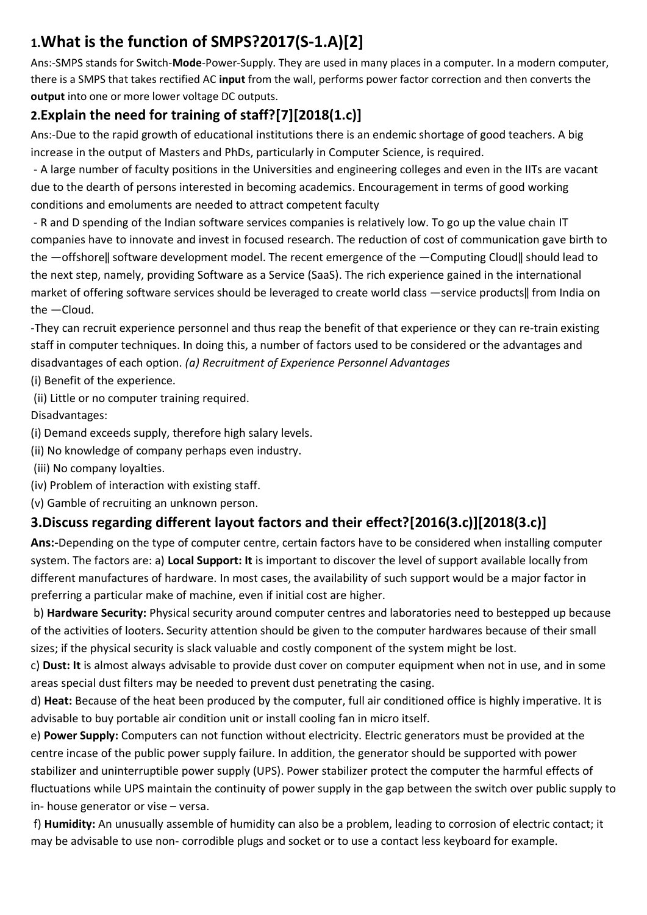# **1.What is the function of SMPS?2017(S-1.A)[2]**

Ans:-SMPS stands for Switch-**Mode**-Power-Supply. They are used in many places in a computer. In a modern computer, there is a SMPS that takes rectified AC **input** from the wall, performs power factor correction and then converts the **output** into one or more lower voltage DC outputs.

# **2.Explain the need for training of staff?[7][2018(1.c)]**

Ans:-Due to the rapid growth of educational institutions there is an endemic shortage of good teachers. A big increase in the output of Masters and PhDs, particularly in Computer Science, is required.

- A large number of faculty positions in the Universities and engineering colleges and even in the IITs are vacant due to the dearth of persons interested in becoming academics. Encouragement in terms of good working conditions and emoluments are needed to attract competent faculty

- R and D spending of the Indian software services companies is relatively low. To go up the value chain IT companies have to innovate and invest in focused research. The reduction of cost of communication gave birth to the ―offshore‖ software development model. The recent emergence of the ―Computing Cloud‖ should lead to the next step, namely, providing Software as a Service (SaaS). The rich experience gained in the international market of offering software services should be leveraged to create world class ―service products‖ from India on the ―Cloud.

-They can recruit experience personnel and thus reap the benefit of that experience or they can re-train existing staff in computer techniques. In doing this, a number of factors used to be considered or the advantages and disadvantages of each option. *(a) Recruitment of Experience Personnel Advantages* 

(i) Benefit of the experience.

(ii) Little or no computer training required.

Disadvantages:

(i) Demand exceeds supply, therefore high salary levels.

(ii) No knowledge of company perhaps even industry.

(iii) No company loyalties.

(iv) Problem of interaction with existing staff.

(v) Gamble of recruiting an unknown person.

# **3.Discuss regarding different layout factors and their effect?[2016(3.c)][2018(3.c)]**

**Ans:-**Depending on the type of computer centre, certain factors have to be considered when installing computer system. The factors are: a) **Local Support: It** is important to discover the level of support available locally from different manufactures of hardware. In most cases, the availability of such support would be a major factor in preferring a particular make of machine, even if initial cost are higher.

b) **Hardware Security:** Physical security around computer centres and laboratories need to bestepped up because of the activities of looters. Security attention should be given to the computer hardwares because of their small sizes; if the physical security is slack valuable and costly component of the system might be lost.

c) **Dust: It** is almost always advisable to provide dust cover on computer equipment when not in use, and in some areas special dust filters may be needed to prevent dust penetrating the casing.

d) **Heat:** Because of the heat been produced by the computer, full air conditioned office is highly imperative. It is advisable to buy portable air condition unit or install cooling fan in micro itself.

e) **Power Supply:** Computers can not function without electricity. Electric generators must be provided at the centre incase of the public power supply failure. In addition, the generator should be supported with power stabilizer and uninterruptible power supply (UPS). Power stabilizer protect the computer the harmful effects of fluctuations while UPS maintain the continuity of power supply in the gap between the switch over public supply to in- house generator or vise – versa.

f) **Humidity:** An unusually assemble of humidity can also be a problem, leading to corrosion of electric contact; it may be advisable to use non- corrodible plugs and socket or to use a contact less keyboard for example.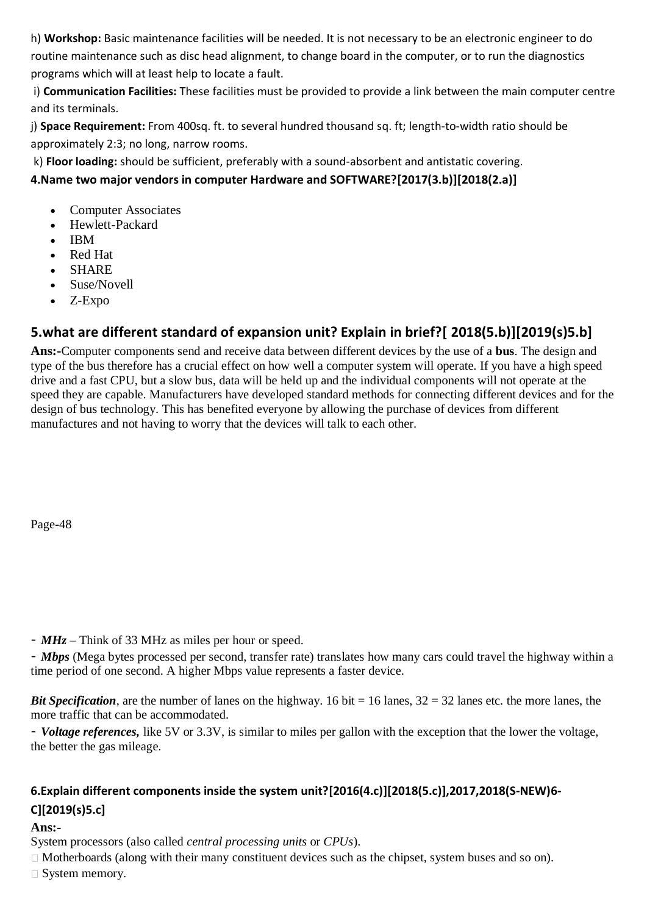h) **Workshop:** Basic maintenance facilities will be needed. It is not necessary to be an electronic engineer to do routine maintenance such as disc head alignment, to change board in the computer, or to run the diagnostics programs which will at least help to locate a fault.

i) **Communication Facilities:** These facilities must be provided to provide a link between the main computer centre and its terminals.

j) **Space Requirement:** From 400sq. ft. to several hundred thousand sq. ft; length-to-width ratio should be approximately 2:3; no long, narrow rooms.

k) **Floor loading:** should be sufficient, preferably with a sound-absorbent and antistatic covering.

## **4.Name two major vendors in computer Hardware and SOFTWARE?[2017(3.b)][2018(2.a)]**

- Computer Associates
- Hewlett-Packard
- IBM
- Red Hat
- SHARE
- Suse/Novell
- Z-Expo

# **5.what are different standard of expansion unit? Explain in brief?[ 2018(5.b)][2019(s)5.b]**

**Ans:-**Computer components send and receive data between different devices by the use of a **bus**. The design and type of the bus therefore has a crucial effect on how well a computer system will operate. If you have a high speed drive and a fast CPU, but a slow bus, data will be held up and the individual components will not operate at the speed they are capable. Manufacturers have developed standard methods for connecting different devices and for the design of bus technology. This has benefited everyone by allowing the purchase of devices from different manufactures and not having to worry that the devices will talk to each other.

Page-48

- *MHz* – Think of 33 MHz as miles per hour or speed.

- *Mbps* (Mega bytes processed per second, transfer rate) translates how many cars could travel the highway within a time period of one second. A higher Mbps value represents a faster device.

*Bit Specification*, are the number of lanes on the highway. 16 bit = 16 lanes,  $32 = 32$  lanes etc. the more lanes, the more traffic that can be accommodated.

- *Voltage references,* like 5V or 3.3V, is similar to miles per gallon with the exception that the lower the voltage, the better the gas mileage.

## **6.Explain different components inside the system unit?[2016(4.c)][2018(5.c)],2017,2018(S-NEW)6- C][2019(s)5.c]**

#### **Ans:-**

System processors (also called *central processing units* or *CPUs*).

 $\Box$  Motherboards (along with their many constituent devices such as the chipset, system buses and so on).

 $\square$  System memory.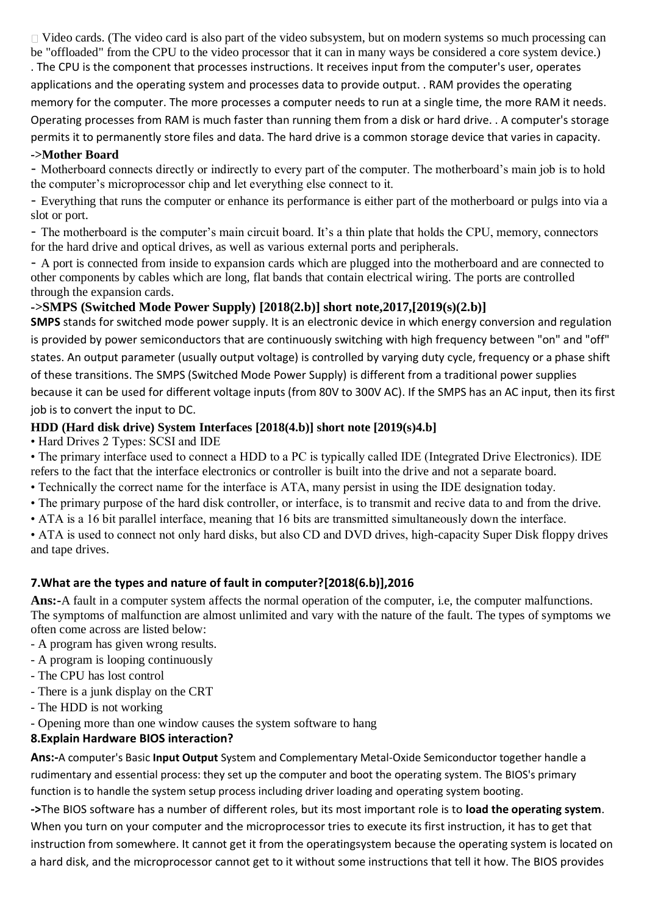Video cards. (The video card is also part of the video subsystem, but on modern systems so much processing can be "offloaded" from the CPU to the video processor that it can in many ways be considered a core system device.) . The CPU is the component that processes instructions. It receives input from the computer's user, operates applications and the operating system and processes data to provide output. . RAM provides the operating memory for the computer. The more processes a computer needs to run at a single time, the more RAM it needs. Operating processes from RAM is much faster than running them from a disk or hard drive. . A computer's storage permits it to permanently store files and data. The hard drive is a common storage device that varies in capacity.

#### **->Mother Board**

- Motherboard connects directly or indirectly to every part of the computer. The motherboard's main job is to hold the computer's microprocessor chip and let everything else connect to it.

- Everything that runs the computer or enhance its performance is either part of the motherboard or pulgs into via a slot or port.

- The motherboard is the computer's main circuit board. It's a thin plate that holds the CPU, memory, connectors for the hard drive and optical drives, as well as various external ports and peripherals.

- A port is connected from inside to expansion cards which are plugged into the motherboard and are connected to other components by cables which are long, flat bands that contain electrical wiring. The ports are controlled through the expansion cards.

#### **->SMPS (Switched Mode Power Supply) [2018(2.b)] short note,2017,[2019(s)(2.b)]**

**SMPS** stands for switched mode power supply. It is an electronic device in which energy conversion and regulation is provided by power semiconductors that are continuously switching with high frequency between "on" and "off" states. An output parameter (usually output voltage) is controlled by varying duty cycle, frequency or a phase shift of these transitions. The SMPS (Switched Mode Power Supply) is different from a traditional power supplies because it can be used for different voltage inputs (from 80V to 300V AC). If the SMPS has an AC input, then its first job is to convert the input to DC.

#### **HDD (Hard disk drive) System Interfaces [2018(4.b)] short note [2019(s)4.b]**

• Hard Drives 2 Types: SCSI and IDE

• The primary interface used to connect a HDD to a PC is typically called IDE (Integrated Drive Electronics). IDE refers to the fact that the interface electronics or controller is built into the drive and not a separate board.

- Technically the correct name for the interface is ATA, many persist in using the IDE designation today.
- The primary purpose of the hard disk controller, or interface, is to transmit and recive data to and from the drive.
- ATA is a 16 bit parallel interface, meaning that 16 bits are transmitted simultaneously down the interface.

• ATA is used to connect not only hard disks, but also CD and DVD drives, high-capacity Super Disk floppy drives and tape drives.

## **7.What are the types and nature of fault in computer?[2018(6.b)],2016**

**Ans:-**A fault in a computer system affects the normal operation of the computer, i.e, the computer malfunctions. The symptoms of malfunction are almost unlimited and vary with the nature of the fault. The types of symptoms we often come across are listed below:

- A program has given wrong results.
- A program is looping continuously
- The CPU has lost control
- There is a junk display on the CRT
- The HDD is not working
- Opening more than one window causes the system software to hang

#### **8.Explain Hardware BIOS interaction?**

**Ans:-**A computer's Basic **Input Output** System and Complementary Metal-Oxide Semiconductor together handle a rudimentary and essential process: they set up the computer and boot the operating system. The BIOS's primary function is to handle the system setup process including driver loading and operating system booting.

**->**The BIOS software has a number of different roles, but its most important role is to **load the operating system**. When you turn on your computer and the microprocessor tries to execute its first instruction, it has to get that instruction from somewhere. It cannot get it from the operatingsystem because the operating system is located on a hard disk, and the microprocessor cannot get to it without some instructions that tell it how. The BIOS provides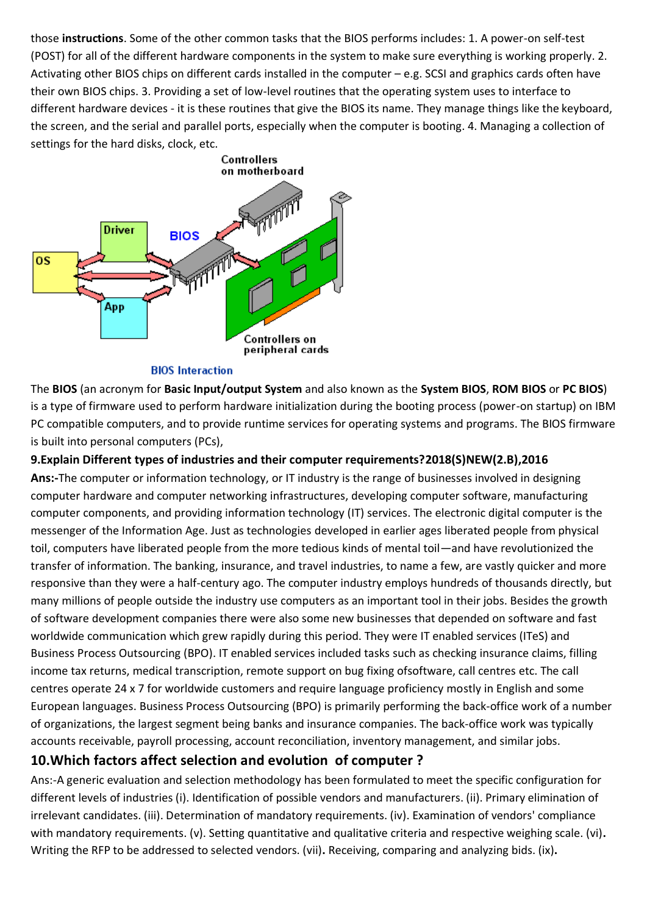those **instructions**. Some of the other common tasks that the BIOS performs includes: 1. A power-on self-test (POST) for all of the different hardware components in the system to make sure everything is working properly. 2. Activating other BIOS chips on different cards installed in the computer – e.g. SCSI and graphics cards often have their own BIOS chips. 3. Providing a set of low-level routines that the operating system uses to interface to different hardware devices - it is these routines that give the BIOS its name. They manage things like the keyboard, the screen, and the serial and parallel ports, especially when the computer is booting. 4. Managing a collection of settings for the hard disks, clock, etc.



#### **BIOS** Interaction

The **BIOS** (an acronym for **Basic Input/output System** and also known as the **System BIOS**, **ROM BIOS** or **PC BIOS**) is a type of firmware used to perform hardware initialization during the booting process (power-on startup) on IBM PC compatible computers, and to provide runtime services for operating systems and programs. The BIOS firmware is built into personal computers (PCs),

**9.Explain Different types of industries and their computer requirements?2018(S)NEW(2.B),2016**

**Ans:-**The computer or information technology, or IT industry is the range of businesses involved in designing computer hardware and computer networking infrastructures, developing computer software, manufacturing computer components, and providing information technology (IT) services. The electronic digital computer is the messenger of the Information Age. Just as technologies developed in earlier ages liberated people from physical toil, computers have liberated people from the more tedious kinds of mental toil—and have revolutionized the transfer of information. The banking, insurance, and travel industries, to name a few, are vastly quicker and more responsive than they were a half-century ago. The computer industry employs hundreds of thousands directly, but many millions of people outside the industry use computers as an important tool in their jobs. Besides the growth of software development companies there were also some new businesses that depended on software and fast worldwide communication which grew rapidly during this period. They were IT enabled services (ITeS) and Business Process Outsourcing (BPO). IT enabled services included tasks such as checking insurance claims, filling income tax returns, medical transcription, remote support on bug fixing ofsoftware, call centres etc. The call centres operate 24 x 7 for worldwide customers and require language proficiency mostly in English and some European languages. Business Process Outsourcing (BPO) is primarily performing the back‐office work of a number of organizations, the largest segment being banks and insurance companies. The back‐office work was typically accounts receivable, payroll processing, account reconciliation, inventory management, and similar jobs.

#### **10.Which factors affect selection and evolution of computer ?**

Ans:-A generic evaluation and selection methodology has been formulated to meet the specific configuration for different levels of industries (i). Identification of possible vendors and manufacturers. (ii). Primary elimination of irrelevant candidates. (iii). Determination of mandatory requirements. (iv). Examination of vendors' compliance with mandatory requirements. (v). Setting quantitative and qualitative criteria and respective weighing scale. (vi). Writing the RFP to be addressed to selected vendors. (vii)**.** Receiving, comparing and analyzing bids. (ix)**.**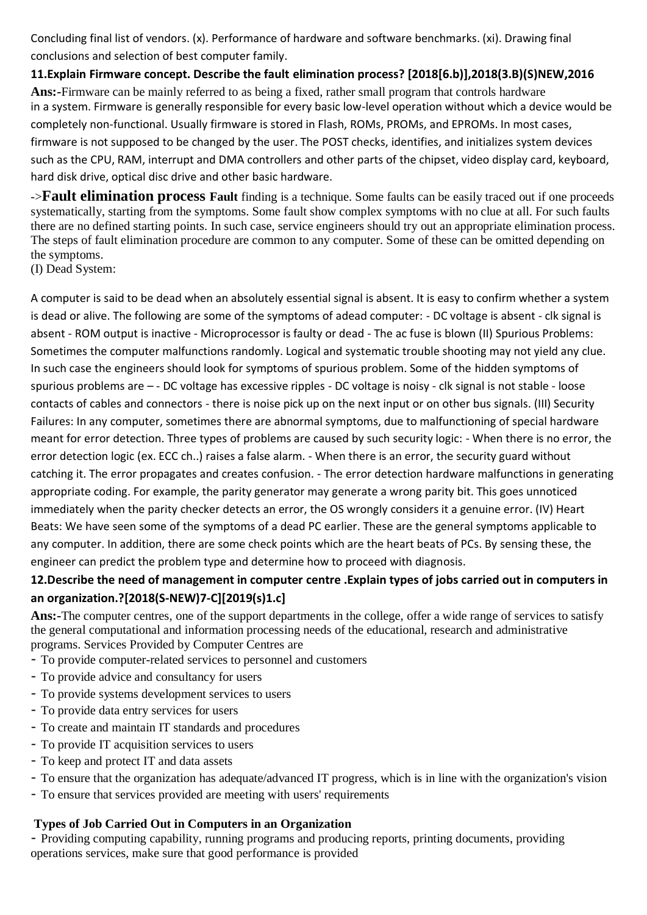Concluding final list of vendors. (x). Performance of hardware and software benchmarks. (xi). Drawing final conclusions and selection of best computer family.

## **11.Explain Firmware concept. Describe the fault elimination process? [2018[6.b)],2018(3.B)(S)NEW,2016**

**Ans:-**Firmware can be mainly referred to as being a fixed, rather small program that controls hardware in a system. Firmware is generally responsible for every basic low-level operation without which a device would be completely non-functional. Usually firmware is stored in Flash, ROMs, PROMs, and EPROMs. In most cases, firmware is not supposed to be changed by the user. The POST checks, identifies, and initializes system devices such as the CPU, RAM, interrupt and DMA controllers and other parts of the chipset, video display card, keyboard, hard disk drive, optical disc drive and other basic hardware.

->**Fault elimination process Fault** finding is a technique. Some faults can be easily traced out if one proceeds systematically, starting from the symptoms. Some fault show complex symptoms with no clue at all. For such faults there are no defined starting points. In such case, service engineers should try out an appropriate elimination process. The steps of fault elimination procedure are common to any computer. Some of these can be omitted depending on the symptoms.

(I) Dead System:

A computer is said to be dead when an absolutely essential signal is absent. It is easy to confirm whether a system is dead or alive. The following are some of the symptoms of adead computer: - DC voltage is absent - clk signal is absent - ROM output is inactive - Microprocessor is faulty or dead - The ac fuse is blown (II) Spurious Problems: Sometimes the computer malfunctions randomly. Logical and systematic trouble shooting may not yield any clue. In such case the engineers should look for symptoms of spurious problem. Some of the hidden symptoms of spurious problems are – - DC voltage has excessive ripples - DC voltage is noisy - clk signal is not stable - loose contacts of cables and connectors - there is noise pick up on the next input or on other bus signals. (III) Security Failures: In any computer, sometimes there are abnormal symptoms, due to malfunctioning of special hardware meant for error detection. Three types of problems are caused by such security logic: - When there is no error, the error detection logic (ex. ECC ch..) raises a false alarm. - When there is an error, the security guard without catching it. The error propagates and creates confusion. - The error detection hardware malfunctions in generating appropriate coding. For example, the parity generator may generate a wrong parity bit. This goes unnoticed immediately when the parity checker detects an error, the OS wrongly considers it a genuine error. (IV) Heart Beats: We have seen some of the symptoms of a dead PC earlier. These are the general symptoms applicable to any computer. In addition, there are some check points which are the heart beats of PCs. By sensing these, the engineer can predict the problem type and determine how to proceed with diagnosis.

## **12.Describe the need of management in computer centre .Explain types of jobs carried out in computers in an organization.?[2018(S-NEW)7-C][2019(s)1.c]**

**Ans:-**The computer centres, one of the support departments in the college, offer a wide range of services to satisfy the general computational and information processing needs of the educational, research and administrative programs. Services Provided by Computer Centres are

- To provide computer-related services to personnel and customers
- To provide advice and consultancy for users
- To provide systems development services to users
- To provide data entry services for users
- To create and maintain IT standards and procedures
- To provide IT acquisition services to users
- To keep and protect IT and data assets
- To ensure that the organization has adequate/advanced IT progress, which is in line with the organization's vision
- To ensure that services provided are meeting with users' requirements

## **Types of Job Carried Out in Computers in an Organization**

- Providing computing capability, running programs and producing reports, printing documents, providing operations services, make sure that good performance is provided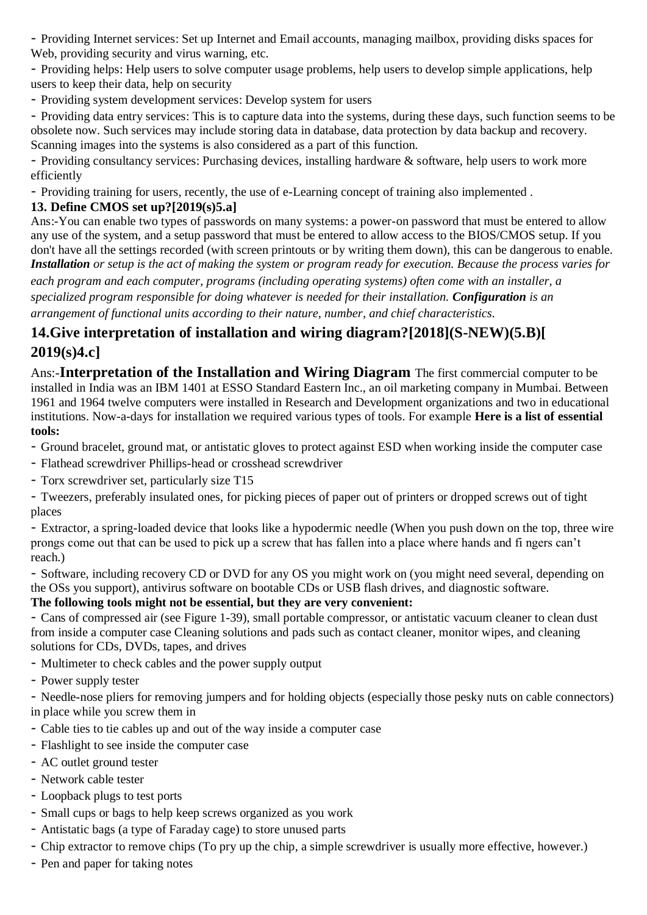- Providing Internet services: Set up Internet and Email accounts, managing mailbox, providing disks spaces for Web, providing security and virus warning, etc.

- Providing helps: Help users to solve computer usage problems, help users to develop simple applications, help users to keep their data, help on security

- Providing system development services: Develop system for users

- Providing data entry services: This is to capture data into the systems, during these days, such function seems to be obsolete now. Such services may include storing data in database, data protection by data backup and recovery. Scanning images into the systems is also considered as a part of this function.

- Providing consultancy services: Purchasing devices, installing hardware & software, help users to work more efficiently

- Providing training for users, recently, the use of e-Learning concept of training also implemented .

## **13. Define CMOS set up?[2019(s)5.a]**

Ans:-You can enable two types of passwords on many systems: a power-on password that must be entered to allow any use of the system, and a setup password that must be entered to allow access to the BIOS/CMOS setup. If you don't have all the settings recorded (with screen printouts or by writing them down), this can be dangerous to enable. *Installation or setup is the act of making the system or program ready for execution. Because the process varies for* 

*each program and each computer, programs (including operating systems) often come with an installer, a specialized program responsible for doing whatever is needed for their installation. Configuration is an arrangement of functional units according to their nature, number, and chief characteristics.*

# **14.Give interpretation of installation and wiring diagram?[2018](S-NEW)(5.B)[ 2019(s)4.c]**

Ans:-**Interpretation of the Installation and Wiring Diagram** The first commercial computer to be installed in India was an IBM 1401 at ESSO Standard Eastern Inc., an oil marketing company in Mumbai. Between 1961 and 1964 twelve computers were installed in Research and Development organizations and two in educational institutions. Now-a-days for installation we required various types of tools. For example **Here is a list of essential tools:** 

- Ground bracelet, ground mat, or antistatic gloves to protect against ESD when working inside the computer case
- Flathead screwdriver Phillips-head or crosshead screwdriver
- Torx screwdriver set, particularly size T15
- Tweezers, preferably insulated ones, for picking pieces of paper out of printers or dropped screws out of tight places

- Extractor, a spring-loaded device that looks like a hypodermic needle (When you push down on the top, three wire prongs come out that can be used to pick up a screw that has fallen into a place where hands and fi ngers can't reach.)

- Software, including recovery CD or DVD for any OS you might work on (you might need several, depending on the OSs you support), antivirus software on bootable CDs or USB flash drives, and diagnostic software.

## **The following tools might not be essential, but they are very convenient:**

- Cans of compressed air (see Figure 1-39), small portable compressor, or antistatic vacuum cleaner to clean dust from inside a computer case Cleaning solutions and pads such as contact cleaner, monitor wipes, and cleaning solutions for CDs, DVDs, tapes, and drives

- Multimeter to check cables and the power supply output

- Power supply tester

- Needle-nose pliers for removing jumpers and for holding objects (especially those pesky nuts on cable connectors) in place while you screw them in

- Cable ties to tie cables up and out of the way inside a computer case
- Flashlight to see inside the computer case
- AC outlet ground tester
- Network cable tester
- Loopback plugs to test ports
- Small cups or bags to help keep screws organized as you work
- Antistatic bags (a type of Faraday cage) to store unused parts
- Chip extractor to remove chips (To pry up the chip, a simple screwdriver is usually more effective, however.)
- Pen and paper for taking notes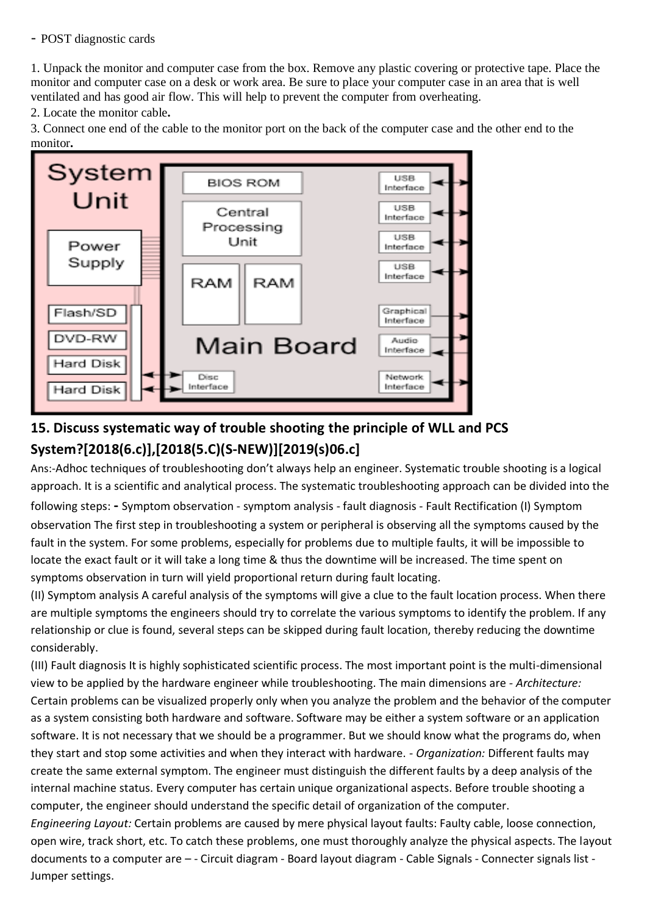1. Unpack the monitor and computer case from the box. Remove any plastic covering or protective tape. Place the monitor and computer case on a desk or work area. Be sure to place your computer case in an area that is well ventilated and has good air flow. This will help to prevent the computer from overheating.

2. Locate the monitor cable**.** 

3. Connect one end of the cable to the monitor port on the back of the computer case and the other end to the monitor**.** 



# **15. Discuss systematic way of trouble shooting the principle of WLL and PCS System?[2018(6.c)],[2018(5.C)(S-NEW)][2019(s)06.c]**

Ans:-Adhoc techniques of troubleshooting don't always help an engineer. Systematic trouble shooting is a logical approach. It is a scientific and analytical process. The systematic troubleshooting approach can be divided into the following steps: **-** Symptom observation - symptom analysis - fault diagnosis - Fault Rectification (I) Symptom observation The first step in troubleshooting a system or peripheral is observing all the symptoms caused by the fault in the system. For some problems, especially for problems due to multiple faults, it will be impossible to locate the exact fault or it will take a long time & thus the downtime will be increased. The time spent on symptoms observation in turn will yield proportional return during fault locating.

(II) Symptom analysis A careful analysis of the symptoms will give a clue to the fault location process. When there are multiple symptoms the engineers should try to correlate the various symptoms to identify the problem. If any relationship or clue is found, several steps can be skipped during fault location, thereby reducing the downtime considerably.

(III) Fault diagnosis It is highly sophisticated scientific process. The most important point is the multi-dimensional view to be applied by the hardware engineer while troubleshooting. The main dimensions are *- Architecture:*  Certain problems can be visualized properly only when you analyze the problem and the behavior of the computer as a system consisting both hardware and software. Software may be either a system software or an application software. It is not necessary that we should be a programmer. But we should know what the programs do, when they start and stop some activities and when they interact with hardware. - *Organization:* Different faults may create the same external symptom. The engineer must distinguish the different faults by a deep analysis of the internal machine status. Every computer has certain unique organizational aspects. Before trouble shooting a computer, the engineer should understand the specific detail of organization of the computer.

*Engineering Layout:* Certain problems are caused by mere physical layout faults: Faulty cable, loose connection, open wire, track short, etc. To catch these problems, one must thoroughly analyze the physical aspects. The layout documents to a computer are – - Circuit diagram - Board layout diagram - Cable Signals - Connecter signals list - Jumper settings.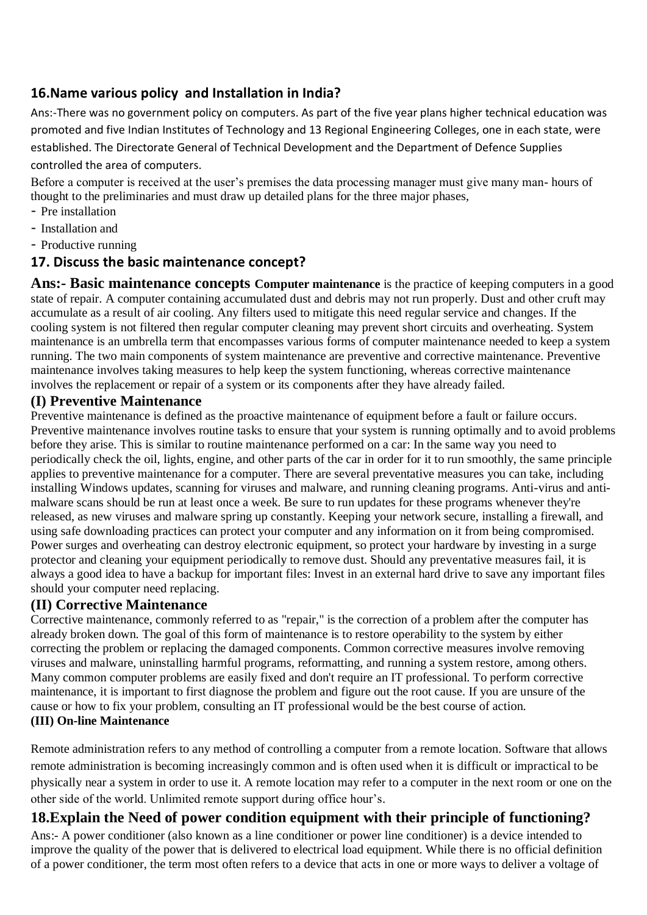## **16.Name various policy and Installation in India?**

Ans:-There was no government policy on computers. As part of the five year plans higher technical education was promoted and five Indian Institutes of Technology and 13 Regional Engineering Colleges, one in each state, were established. The Directorate General of Technical Development and the Department of Defence Supplies controlled the area of computers.

Before a computer is received at the user's premises the data processing manager must give many man- hours of thought to the preliminaries and must draw up detailed plans for the three major phases,

- Pre installation
- Installation and
- Productive running

## **17. Discuss the basic maintenance concept?**

**Ans:- Basic maintenance concepts Computer maintenance** is the practice of keeping computers in a good state of repair. A computer containing accumulated dust and debris may not run properly. Dust and other cruft may accumulate as a result of air cooling. Any filters used to mitigate this need regular service and changes. If the cooling system is not filtered then regular computer cleaning may prevent short circuits and overheating. System maintenance is an umbrella term that encompasses various forms of computer maintenance needed to keep a system running. The two main components of system maintenance are preventive and corrective maintenance. Preventive maintenance involves taking measures to help keep the system functioning, whereas corrective maintenance involves the replacement or repair of a system or its components after they have already failed.

## **(I) Preventive Maintenance**

Preventive maintenance is defined as the proactive maintenance of equipment before a fault or failure occurs. Preventive maintenance involves routine tasks to ensure that your system is running optimally and to avoid problems before they arise. This is similar to routine maintenance performed on a car: In the same way you need to periodically check the oil, lights, engine, and other parts of the car in order for it to run smoothly, the same principle applies to preventive maintenance for a computer. There are several preventative measures you can take, including installing Windows updates, scanning for viruses and malware, and running cleaning programs. Anti-virus and antimalware scans should be run at least once a week. Be sure to run updates for these programs whenever they're released, as new viruses and malware spring up constantly. Keeping your network secure, installing a firewall, and using safe downloading practices can protect your computer and any information on it from being compromised. Power surges and overheating can destroy electronic equipment, so protect your hardware by investing in a surge protector and cleaning your equipment periodically to remove dust. Should any preventative measures fail, it is always a good idea to have a backup for important files: Invest in an external hard drive to save any important files should your computer need replacing.

## **(II) Corrective Maintenance**

Corrective maintenance, commonly referred to as "repair," is the correction of a problem after the computer has already broken down. The goal of this form of maintenance is to restore operability to the system by either correcting the problem or replacing the damaged components. Common corrective measures involve removing viruses and malware, uninstalling harmful programs, reformatting, and running a system restore, among others. Many common computer problems are easily fixed and don't require an IT professional. To perform corrective maintenance, it is important to first diagnose the problem and figure out the root cause. If you are unsure of the cause or how to fix your problem, consulting an IT professional would be the best course of action. **(III) On-line Maintenance** 

Remote administration refers to any method of controlling a computer from a remote location. Software that allows remote administration is becoming increasingly common and is often used when it is difficult or impractical to be physically near a system in order to use it. A remote location may refer to a computer in the next room or one on the other side of the world. Unlimited remote support during office hour's.

## **18.Explain the Need of power condition equipment with their principle of functioning?**

Ans:- A power conditioner (also known as a line conditioner or power line conditioner) is a device intended to improve the quality of the power that is delivered to electrical load equipment. While there is no official definition of a power conditioner, the term most often refers to a device that acts in one or more ways to deliver a voltage of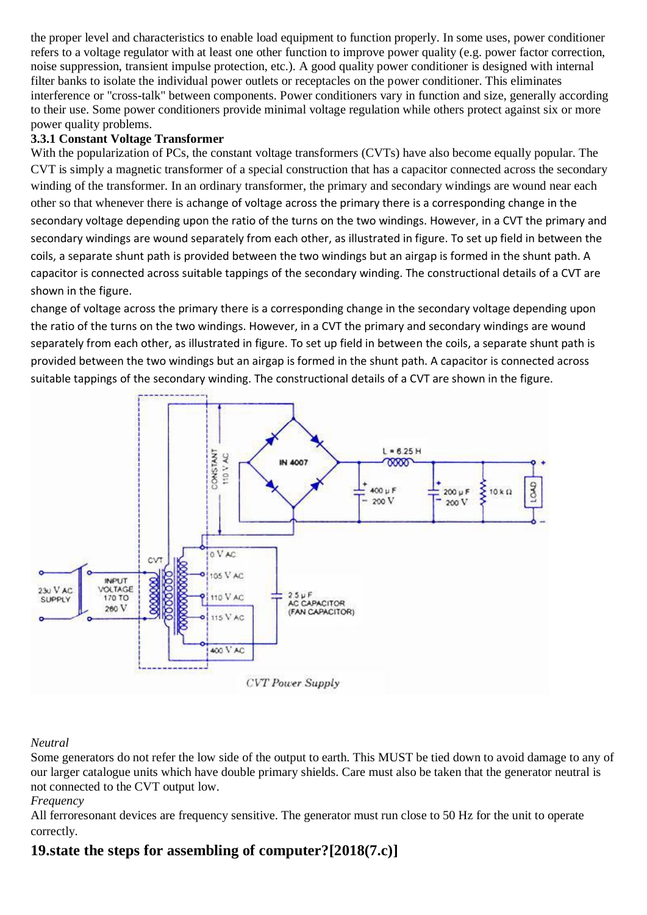the proper level and characteristics to enable load equipment to function properly. In some uses, power conditioner refers to a voltage regulator with at least one other function to improve power quality (e.g. power factor correction, noise suppression, transient impulse protection, etc.). A good quality power conditioner is designed with internal filter banks to isolate the individual power outlets or receptacles on the power conditioner. This eliminates interference or "cross-talk" between components. Power conditioners vary in function and size, generally according to their use. Some power conditioners provide minimal voltage regulation while others protect against six or more power quality problems.

#### **3.3.1 Constant Voltage Transformer**

With the popularization of PCs, the constant voltage transformers (CVTs) have also become equally popular. The CVT is simply a magnetic transformer of a special construction that has a capacitor connected across the secondary winding of the transformer. In an ordinary transformer, the primary and secondary windings are wound near each other so that whenever there is achange of voltage across the primary there is a corresponding change in the secondary voltage depending upon the ratio of the turns on the two windings. However, in a CVT the primary and secondary windings are wound separately from each other, as illustrated in figure. To set up field in between the coils, a separate shunt path is provided between the two windings but an airgap is formed in the shunt path. A capacitor is connected across suitable tappings of the secondary winding. The constructional details of a CVT are shown in the figure.

change of voltage across the primary there is a corresponding change in the secondary voltage depending upon the ratio of the turns on the two windings. However, in a CVT the primary and secondary windings are wound separately from each other, as illustrated in figure. To set up field in between the coils, a separate shunt path is provided between the two windings but an airgap is formed in the shunt path. A capacitor is connected across suitable tappings of the secondary winding. The constructional details of a CVT are shown in the figure.



#### *Neutral*

Some generators do not refer the low side of the output to earth. This MUST be tied down to avoid damage to any of our larger catalogue units which have double primary shields. Care must also be taken that the generator neutral is not connected to the CVT output low.

#### *Frequency*

All ferroresonant devices are frequency sensitive. The generator must run close to 50 Hz for the unit to operate correctly.

## **19.state the steps for assembling of computer?[2018(7.c)]**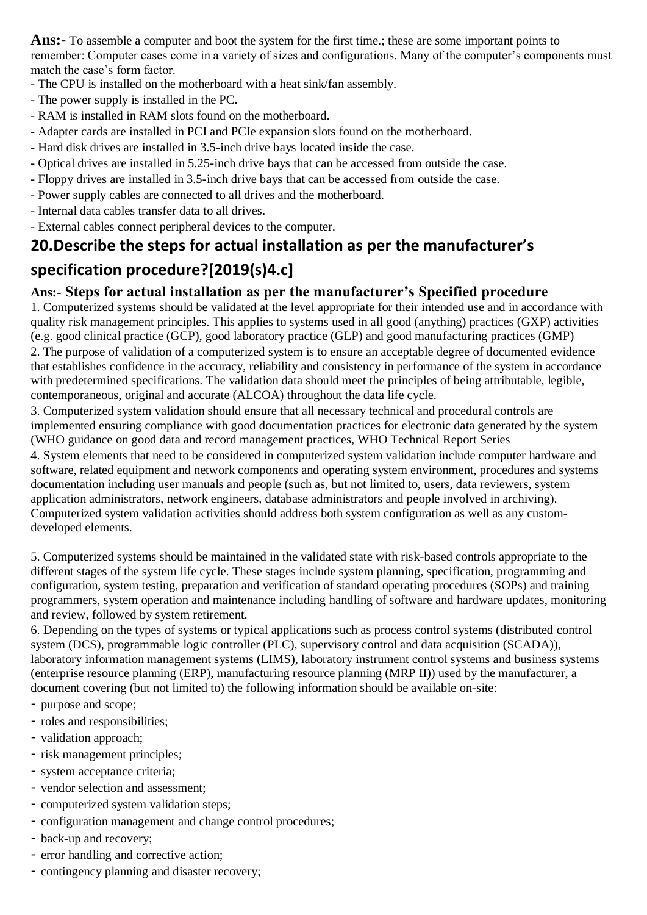Ans:- To assemble a computer and boot the system for the first time.; these are some important points to remember: Computer cases come in a variety of sizes and configurations. Many of the computer's components must match the case's form factor.

- The CPU is installed on the motherboard with a heat sink/fan assembly.
- The power supply is installed in the PC.
- RAM is installed in RAM slots found on the motherboard.
- Adapter cards are installed in PCI and PCIe expansion slots found on the motherboard.
- Hard disk drives are installed in 3.5-inch drive bays located inside the case.
- Optical drives are installed in 5.25-inch drive bays that can be accessed from outside the case.
- Floppy drives are installed in 3.5-inch drive bays that can be accessed from outside the case.
- Power supply cables are connected to all drives and the motherboard.
- Internal data cables transfer data to all drives.
- External cables connect peripheral devices to the computer.

# **20.Describe the steps for actual installation as per the manufacturer's**

# **specification procedure?[2019(s)4.c]**

## **Ans:- Steps for actual installation as per the manufacturer's Specified procedure**

1. Computerized systems should be validated at the level appropriate for their intended use and in accordance with quality risk management principles. This applies to systems used in all good (anything) practices (GXP) activities (e.g. good clinical practice (GCP), good laboratory practice (GLP) and good manufacturing practices (GMP) 2. The purpose of validation of a computerized system is to ensure an acceptable degree of documented evidence that establishes confidence in the accuracy, reliability and consistency in performance of the system in accordance with predetermined specifications. The validation data should meet the principles of being attributable, legible, contemporaneous, original and accurate (ALCOA) throughout the data life cycle.

3. Computerized system validation should ensure that all necessary technical and procedural controls are implemented ensuring compliance with good documentation practices for electronic data generated by the system (WHO guidance on good data and record management practices, WHO Technical Report Series

4. System elements that need to be considered in computerized system validation include computer hardware and software, related equipment and network components and operating system environment, procedures and systems documentation including user manuals and people (such as, but not limited to, users, data reviewers, system application administrators, network engineers, database administrators and people involved in archiving). Computerized system validation activities should address both system configuration as well as any customdeveloped elements.

5. Computerized systems should be maintained in the validated state with risk-based controls appropriate to the different stages of the system life cycle. These stages include system planning, specification, programming and configuration, system testing, preparation and verification of standard operating procedures (SOPs) and training programmers, system operation and maintenance including handling of software and hardware updates, monitoring and review, followed by system retirement.

6. Depending on the types of systems or typical applications such as process control systems (distributed control system (DCS), programmable logic controller (PLC), supervisory control and data acquisition (SCADA)), laboratory information management systems (LIMS), laboratory instrument control systems and business systems (enterprise resource planning (ERP), manufacturing resource planning (MRP II)) used by the manufacturer, a document covering (but not limited to) the following information should be available on-site:

- purpose and scope;
- roles and responsibilities;
- validation approach;
- risk management principles;
- system acceptance criteria;
- vendor selection and assessment;
- computerized system validation steps;
- configuration management and change control procedures;
- back-up and recovery;
- error handling and corrective action;
- contingency planning and disaster recovery;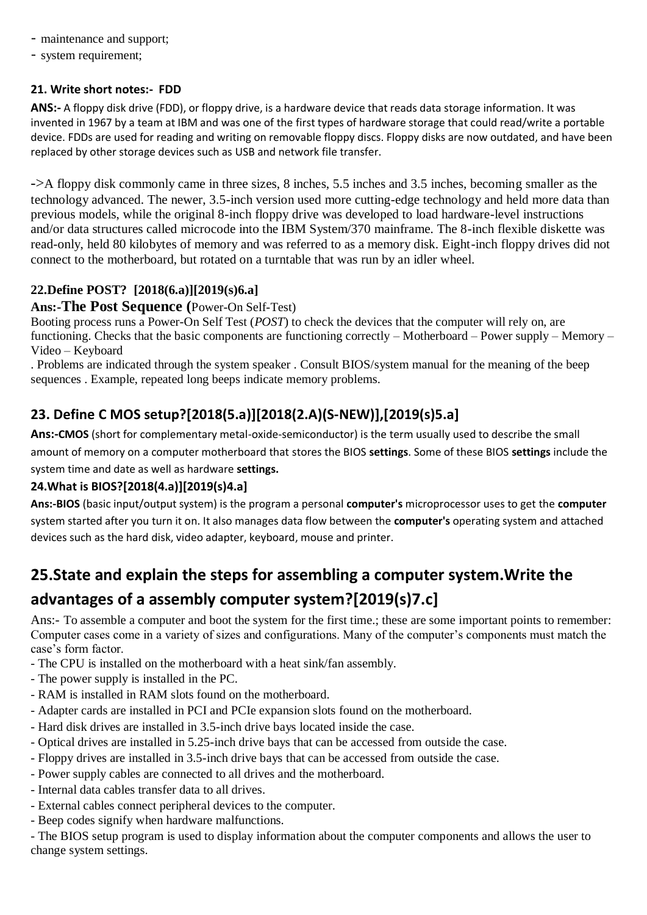- maintenance and support;
- system requirement;

#### **21. Write short notes:- FDD**

**ANS:-** A floppy disk drive (FDD), or floppy drive, is a hardware device that reads data storage information. It was invented in 1967 by a team at IBM and was one of the first types of hardware storage that could read/write a portable device. FDDs are used for reading and writing on removable floppy discs. Floppy disks are now outdated, and have been replaced by other storage devices such as USB and network file transfer.

->A floppy disk commonly came in three sizes, 8 inches, 5.5 inches and 3.5 inches, becoming smaller as the technology advanced. The newer, 3.5-inch version used more cutting-edge technology and held more data than previous models, while the original 8-inch floppy drive was developed to load hardware-level instructions and/or data structures called microcode into the IBM System/370 mainframe. The 8-inch flexible diskette was read-only, held 80 kilobytes of memory and was referred to as a memory disk. Eight-inch floppy drives did not connect to the motherboard, but rotated on a turntable that was run by an idler wheel.

## **22.Define POST? [2018(6.a)][2019(s)6.a]**

#### **Ans:-The Post Sequence (**Power-On Self-Test)

Booting process runs a Power-On Self Test (*POST*) to check the devices that the computer will rely on, are functioning. Checks that the basic components are functioning correctly – Motherboard – Power supply – Memory – Video – Keyboard

. Problems are indicated through the system speaker . Consult BIOS/system manual for the meaning of the beep sequences . Example, repeated long beeps indicate memory problems.

# **23. Define C MOS setup?[2018(5.a)][2018(2.A)(S-NEW)],[2019(s)5.a]**

**Ans:-CMOS** (short for complementary metal-oxide-semiconductor) is the term usually used to describe the small amount of memory on a computer motherboard that stores the BIOS **settings**. Some of these BIOS **settings** include the system time and date as well as hardware **settings.**

#### **24.What is BIOS?[2018(4.a)][2019(s)4.a]**

**Ans:-BIOS** (basic input/output system) is the program a personal **computer's** microprocessor uses to get the **computer** system started after you turn it on. It also manages data flow between the **computer's** operating system and attached devices such as the hard disk, video adapter, keyboard, mouse and printer.

# **25.State and explain the steps for assembling a computer system.Write the advantages of a assembly computer system?[2019(s)7.c]**

Ans:- To assemble a computer and boot the system for the first time.; these are some important points to remember: Computer cases come in a variety of sizes and configurations. Many of the computer's components must match the case's form factor.

- The CPU is installed on the motherboard with a heat sink/fan assembly.
- The power supply is installed in the PC.
- RAM is installed in RAM slots found on the motherboard.
- Adapter cards are installed in PCI and PCIe expansion slots found on the motherboard.
- Hard disk drives are installed in 3.5-inch drive bays located inside the case.
- Optical drives are installed in 5.25-inch drive bays that can be accessed from outside the case.
- Floppy drives are installed in 3.5-inch drive bays that can be accessed from outside the case.
- Power supply cables are connected to all drives and the motherboard.
- Internal data cables transfer data to all drives.
- External cables connect peripheral devices to the computer.
- Beep codes signify when hardware malfunctions.

- The BIOS setup program is used to display information about the computer components and allows the user to change system settings.